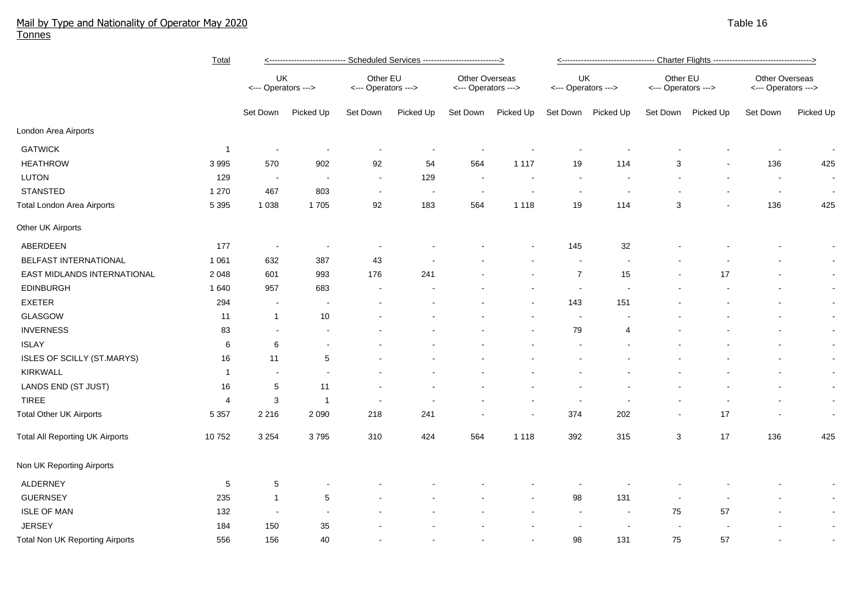## Mail by Type and Nationality of Operator May 2020 National Control of Control of American Control of Table 16 ( Tonnes

|                                                 | <b>Total</b>   | <--------------------------- Scheduled Services ---------------------------> |                          |                                 |           |                                       |           | ------------------------------- Charter Flights ----------------------------------> |                          |                                 |                          |                                       |           |
|-------------------------------------------------|----------------|------------------------------------------------------------------------------|--------------------------|---------------------------------|-----------|---------------------------------------|-----------|-------------------------------------------------------------------------------------|--------------------------|---------------------------------|--------------------------|---------------------------------------|-----------|
|                                                 |                | UK<br><--- Operators --->                                                    |                          | Other EU<br><--- Operators ---> |           | Other Overseas<br><--- Operators ---> |           | UK<br><--- Operators --->                                                           |                          | Other EU<br><--- Operators ---> |                          | Other Overseas<br><--- Operators ---> |           |
|                                                 |                | Set Down                                                                     | Picked Up                | Set Down                        | Picked Up | Set Down                              | Picked Up | Set Down                                                                            | Picked Up                | Set Down                        | Picked Up                | Set Down                              | Picked Up |
| London Area Airports                            |                |                                                                              |                          |                                 |           |                                       |           |                                                                                     |                          |                                 |                          |                                       |           |
| <b>GATWICK</b>                                  | $\overline{1}$ |                                                                              |                          |                                 |           |                                       |           |                                                                                     |                          |                                 |                          |                                       |           |
| <b>HEATHROW</b>                                 | 3 9 9 5        | 570                                                                          | 902                      | 92                              | 54        | 564                                   | 1 1 1 7   | 19                                                                                  | 114                      | 3                               |                          | 136                                   | 425       |
| LUTON                                           | 129            | $\sim$                                                                       | $\overline{\phantom{a}}$ | $\sim$                          | 129       | $\sim$                                |           |                                                                                     |                          |                                 |                          | $\sim$                                | $\sim$    |
| <b>STANSTED</b>                                 | 1 2 7 0        | 467                                                                          | 803                      | $\sim$                          |           | $\overline{\phantom{a}}$              |           | $\blacksquare$                                                                      | $\overline{\phantom{a}}$ |                                 |                          | $\sim$                                | $\sim$    |
| Total London Area Airports                      | 5 3 9 5        | 1 0 3 8                                                                      | 1705                     | 92                              | 183       | 564                                   | 1 1 1 8   | 19                                                                                  | 114                      | 3                               |                          | 136                                   | 425       |
| Other UK Airports                               |                |                                                                              |                          |                                 |           |                                       |           |                                                                                     |                          |                                 |                          |                                       |           |
| ABERDEEN                                        | 177            | $\sim$                                                                       | $\blacksquare$           |                                 |           |                                       |           | 145                                                                                 | 32                       |                                 |                          |                                       | $\sim$    |
| BELFAST INTERNATIONAL                           | 1 0 6 1        | 632                                                                          | 387                      | 43                              |           |                                       |           |                                                                                     |                          |                                 |                          |                                       |           |
| EAST MIDLANDS INTERNATIONAL                     | 2 0 4 8        | 601                                                                          | 993                      | 176                             | 241       |                                       |           | $\overline{7}$                                                                      | 15                       |                                 | 17                       |                                       | $\sim$    |
| <b>EDINBURGH</b>                                | 1 640          | 957                                                                          | 683                      |                                 |           |                                       |           | $\sim$                                                                              | $\overline{\phantom{a}}$ |                                 |                          |                                       | $\sim$    |
| <b>EXETER</b>                                   | 294            | $\overline{\phantom{a}}$                                                     |                          |                                 |           |                                       |           | 143                                                                                 | 151                      |                                 |                          |                                       | $\sim$    |
| GLASGOW                                         | 11             | $\mathbf{1}$                                                                 | $10$                     |                                 |           |                                       |           |                                                                                     |                          |                                 |                          |                                       | $\sim$    |
| <b>INVERNESS</b>                                | 83             | $\blacksquare$                                                               |                          |                                 |           |                                       |           | 79                                                                                  | $\overline{4}$           |                                 |                          | ۰                                     | $\sim$    |
| <b>ISLAY</b>                                    | 6              | 6                                                                            | $\sim$                   |                                 |           |                                       |           |                                                                                     |                          |                                 |                          |                                       | $\sim$    |
| ISLES OF SCILLY (ST.MARYS)                      | 16             | 11                                                                           | $\sqrt{5}$               |                                 |           |                                       |           |                                                                                     |                          |                                 |                          |                                       | $\sim$    |
| KIRKWALL                                        | $\mathbf{1}$   |                                                                              |                          |                                 |           |                                       |           |                                                                                     |                          |                                 |                          |                                       | $\sim$    |
| LANDS END (ST JUST)                             | 16             | 5                                                                            | 11                       |                                 |           |                                       |           |                                                                                     |                          |                                 |                          |                                       | $\sim$    |
| <b>TIREE</b>                                    | 4              | 3                                                                            | $\overline{1}$           | $\overline{\phantom{a}}$        |           |                                       |           |                                                                                     |                          |                                 |                          |                                       | $\sim$    |
| <b>Total Other UK Airports</b><br>5 3 5 7       |                | 2 2 1 6                                                                      | 2 0 9 0                  | 218                             | 241       |                                       |           | 374                                                                                 | 202                      | $\sim$                          | 17                       |                                       | $\sim$    |
| <b>Total All Reporting UK Airports</b><br>10752 |                | 3 2 5 4                                                                      | 3795                     | 310                             | 424       | 564                                   | 1 1 1 8   | 392                                                                                 | 315                      | 3                               | 17                       | 136                                   | 425       |
| Non UK Reporting Airports                       |                |                                                                              |                          |                                 |           |                                       |           |                                                                                     |                          |                                 |                          |                                       |           |
| ALDERNEY                                        | 5              | 5                                                                            |                          |                                 |           |                                       |           |                                                                                     |                          |                                 |                          |                                       |           |
| <b>GUERNSEY</b>                                 | 235            | $\mathbf{1}$                                                                 | $\sqrt{5}$               |                                 |           |                                       |           | 98                                                                                  | 131                      |                                 |                          |                                       |           |
| <b>ISLE OF MAN</b>                              | 132            | $\blacksquare$                                                               |                          |                                 |           |                                       |           | $\sim$                                                                              | $\overline{\phantom{a}}$ | 75                              | 57                       |                                       | $\sim$    |
| <b>JERSEY</b>                                   | 184            | 150                                                                          | 35                       |                                 |           |                                       |           |                                                                                     | $\overline{\phantom{a}}$ | $\sim$                          | $\overline{\phantom{a}}$ |                                       | $\sim$    |
| <b>Total Non UK Reporting Airports</b>          | 556            | 156                                                                          | 40                       |                                 |           |                                       |           | 98                                                                                  | 131                      | 75                              | 57                       |                                       |           |